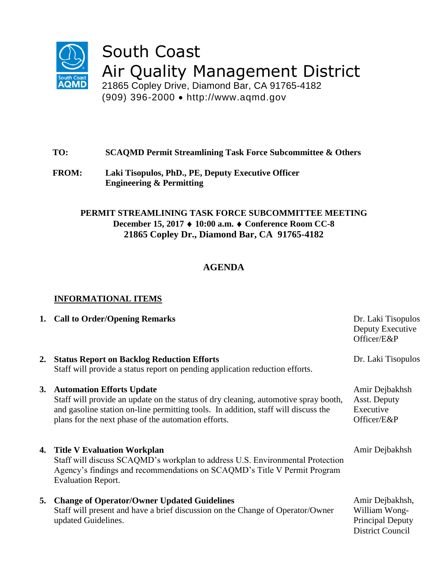

# South Coast Air Quality Management District

21865 Copley Drive, Diamond Bar, CA 91765-4182 (909) 396-2000 http://www.aqmd.gov

## **TO: SCAQMD Permit Streamlining Task Force Subcommittee & Others**

**FROM: Laki Tisopulos, PhD., PE, Deputy Executive Officer Engineering & Permitting**

### **PERMIT STREAMLINING TASK FORCE SUBCOMMITTEE MEETING December 15, 2017 10:00 a.m. Conference Room CC-8 21865 Copley Dr., Diamond Bar, CA 91765-4182**

## **AGENDA**

## **INFORMATIONAL ITEMS**

|    | 1. Call to Order/Opening Remarks                                                                                                                                                                                                                                 | Dr. Laki Tisopulos<br>Deputy Executive<br>Officer/E&P                                  |
|----|------------------------------------------------------------------------------------------------------------------------------------------------------------------------------------------------------------------------------------------------------------------|----------------------------------------------------------------------------------------|
| 2. | <b>Status Report on Backlog Reduction Efforts</b><br>Staff will provide a status report on pending application reduction efforts.                                                                                                                                | Dr. Laki Tisopulos                                                                     |
|    | 3. Automation Efforts Update<br>Staff will provide an update on the status of dry cleaning, automotive spray booth,<br>and gasoline station on-line permitting tools. In addition, staff will discuss the<br>plans for the next phase of the automation efforts. | Amir Dejbakhsh<br>Asst. Deputy<br>Executive<br>Officer/E&P                             |
|    | 4. Title V Evaluation Workplan<br>Staff will discuss SCAQMD's workplan to address U.S. Environmental Protection<br>Agency's findings and recommendations on SCAQMD's Title V Permit Program<br><b>Evaluation Report.</b>                                         | Amir Dejbakhsh                                                                         |
| 5. | <b>Change of Operator/Owner Updated Guidelines</b><br>Staff will present and have a brief discussion on the Change of Operator/Owner<br>updated Guidelines.                                                                                                      | Amir Dejbakhsh,<br>William Wong-<br><b>Principal Deputy</b><br><b>District Council</b> |